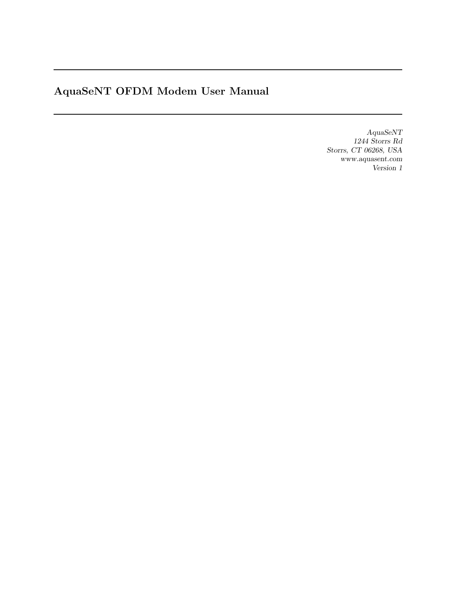# AquaSeNT OFDM Modem User Manual

AquaSeNT 1244 Storrs Rd Storrs, CT 06268, USA www.aquasent.com Version 1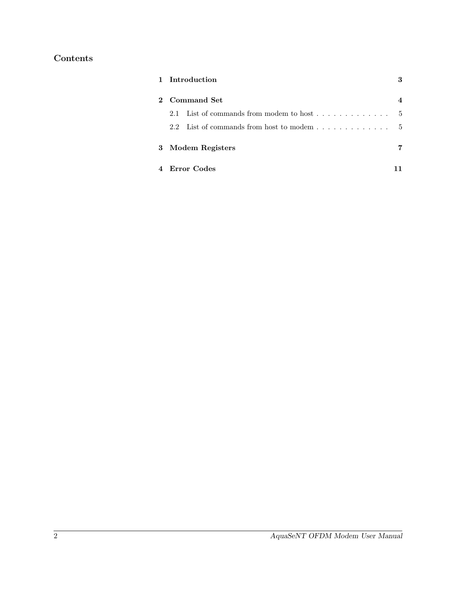## Contents

|   | 1 Introduction                                                |     |
|---|---------------------------------------------------------------|-----|
|   | 2 Command Set                                                 |     |
|   | 2.1 List of commands from modem to host $\dots$ , $\dots$ , , | .5  |
|   | 2.2 List of commands from host to modem                       | - 5 |
| 3 | Modem Registers                                               |     |
|   | Error Codes                                                   |     |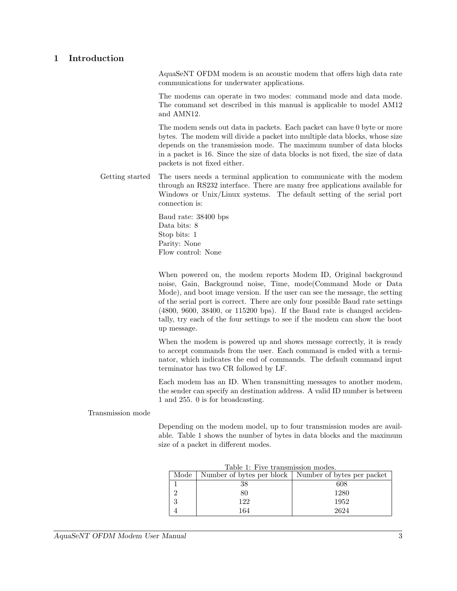## 1 Introduction

AquaSeNT OFDM modem is an acoustic modem that offers high data rate communications for underwater applications.

The modems can operate in two modes: command mode and data mode. The command set described in this manual is applicable to model AM12 and AMN12.

The modem sends out data in packets. Each packet can have 0 byte or more bytes. The modem will divide a packet into multiple data blocks, whose size depends on the transmission mode. The maximum number of data blocks in a packet is 16. Since the size of data blocks is not fixed, the size of data packets is not fixed either.

Getting started The users needs a terminal application to communicate with the modem through an RS232 interface. There are many free applications available for Windows or Unix/Linux systems. The default setting of the serial port connection is:

> Baud rate: 38400 bps Data bits: 8 Stop bits: 1 Parity: None Flow control: None

When powered on, the modem reports Modem ID, Original background noise, Gain, Background noise, Time, mode(Command Mode or Data Mode), and boot image version. If the user can see the message, the setting of the serial port is correct. There are only four possible Baud rate settings (4800, 9600, 38400, or 115200 bps). If the Baud rate is changed accidentally, try each of the four settings to see if the modem can show the boot up message.

When the modem is powered up and shows message correctly, it is ready to accept commands from the user. Each command is ended with a terminator, which indicates the end of commands. The default command input terminator has two CR followed by LF.

Each modem has an ID. When transmitting messages to another modem, the sender can specify an destination address. A valid ID number is between 1 and 255. 0 is for broadcasting.

Transmission mode

Depending on the modem model, up to four transmission modes are available. Table 1 shows the number of bytes in data blocks and the maximum size of a packet in different modes.

| Table 1: Five transmission modes. |     |                                                               |  |  |
|-----------------------------------|-----|---------------------------------------------------------------|--|--|
|                                   |     | Mode   Number of bytes per block   Number of bytes per packet |  |  |
|                                   | 38  | 608                                                           |  |  |
|                                   |     | 1280                                                          |  |  |
|                                   | 122 | 1952                                                          |  |  |
|                                   | 164 | 2624                                                          |  |  |

Table 1: Five transmission modes.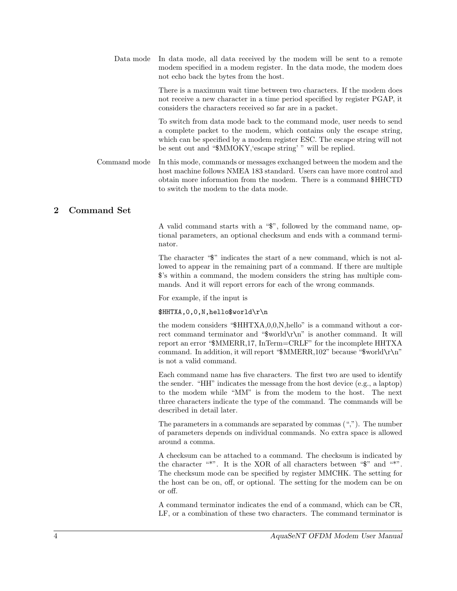Data mode In data mode, all data received by the modem will be sent to a remote modem specified in a modem register. In the data mode, the modem does not echo back the bytes from the host.

> There is a maximum wait time between two characters. If the modem does not receive a new character in a time period specified by register PGAP, it considers the characters received so far are in a packet.

> To switch from data mode back to the command mode, user needs to send a complete packet to the modem, which contains only the escape string, which can be specified by a modem register ESC. The escape string will not be sent out and "\$MMOKY,'escape string' " will be replied.

Command mode In this mode, commands or messages exchanged between the modem and the host machine follows NMEA 183 standard. Users can have more control and obtain more information from the modem. There is a command \$HHCTD to switch the modem to the data mode.

## 2 Command Set

A valid command starts with a "\$", followed by the command name, optional parameters, an optional checksum and ends with a command terminator.

The character "\$" indicates the start of a new command, which is not allowed to appear in the remaining part of a command. If there are multiple \$'s within a command, the modem considers the string has multiple commands. And it will report errors for each of the wrong commands.

For example, if the input is

\$HHTXA,0,0,N,hello\$world\r\n

the modem considers "\$HHTXA,0,0,N,hello" is a command without a correct command terminator and "\$world\r\n" is another command. It will report an error "\$MMERR,17, InTerm=CRLF" for the incomplete HHTXA command. In addition, it will report "\$MMERR,102" because "\$world\r\n" is not a valid command.

Each command name has five characters. The first two are used to identify the sender. "HH" indicates the message from the host device (e.g., a laptop) to the modem while "MM" is from the modem to the host. The next three characters indicate the type of the command. The commands will be described in detail later.

The parameters in a commands are separated by commas  $(\tilde{\cdot},\tilde{\cdot})$ . The number of parameters depends on individual commands. No extra space is allowed around a comma.

A checksum can be attached to a command. The checksum is indicated by the character "\*". It is the XOR of all characters between " $\mathcal{F}$ " and "\*". The checksum mode can be specified by register MMCHK. The setting for the host can be on, off, or optional. The setting for the modem can be on or off.

A command terminator indicates the end of a command, which can be CR, LF, or a combination of these two characters. The command terminator is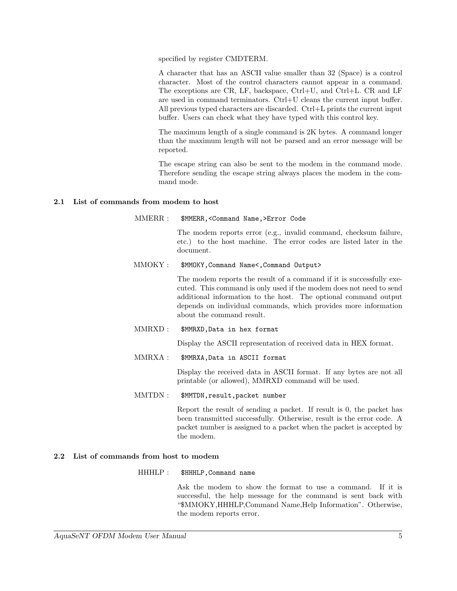specified by register CMDTERM.

A character that has an ASCII value smaller than 32 (Space) is a control character. Most of the control characters cannot appear in a command. The exceptions are CR, LF, backspace, Ctrl+U, and Ctrl+L. CR and LF are used in command terminators. Ctrl+U cleans the current input buffer. All previous typed characters are discarded. Ctrl+L prints the current input buffer. Users can check what they have typed with this control key.

The maximum length of a single command is 2K bytes. A command longer than the maximum length will not be parsed and an error message will be reported.

The escape string can also be sent to the modem in the command mode. Therefore sending the escape string always places the modem in the command mode.

## 2.1 List of commands from modem to host

MMERR : \$MMERR,<Command Name,>Error Code

The modem reports error (e.g., invalid command, checksum failure, etc.) to the host machine. The error codes are listed later in the document.

MMOKY : \$MMOKY,Command Name<,Command Output>

The modem reports the result of a command if it is successfully executed. This command is only used if the modem does not need to send additional information to the host. The optional command output depends on individual commands, which provides more information about the command result.

MMRXD : \$MMRXD,Data in hex format

Display the ASCII representation of received data in HEX format.

MMRXA : \$MMRXA,Data in ASCII format

Display the received data in ASCII format. If any bytes are not all printable (or allowed), MMRXD command will be used.

MMTDN: \$MMTDN, result, packet number

Report the result of sending a packet. If result is 0, the packet has been transmitted successfully. Otherwise, result is the error code. A packet number is assigned to a packet when the packet is accepted by the modem.

## 2.2 List of commands from host to modem

## HHHLP : \$HHHLP,Command name

Ask the modem to show the format to use a command. If it is successful, the help message for the command is sent back with "\$MMOKY,HHHLP,Command Name,Help Information". Otherwise, the modem reports error.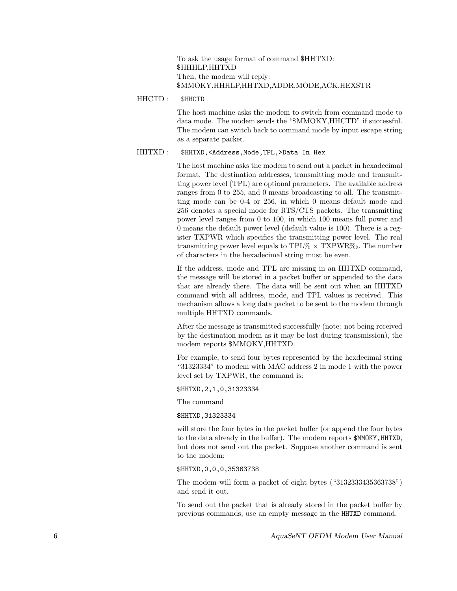To ask the usage format of command \$HHTXD: \$HHHLP,HHTXD Then, the modem will reply: \$MMOKY,HHHLP,HHTXD,ADDR,MODE,ACK,HEXSTR

## HHCTD : \$HHCTD

The host machine asks the modem to switch from command mode to data mode. The modem sends the "\$MMOKY,HHCTD" if successful. The modem can switch back to command mode by input escape string as a separate packet.

## HHTXD : \$HHTXD,<Address,Mode,TPL,>Data In Hex

The host machine asks the modem to send out a packet in hexadecimal format. The destination addresses, transmitting mode and transmitting power level (TPL) are optional parameters. The available address ranges from 0 to 255, and 0 means broadcasting to all. The transmitting mode can be 0-4 or 256, in which 0 means default mode and 256 denotes a special mode for RTS/CTS packets. The transmitting power level ranges from 0 to 100, in which 100 means full power and 0 means the default power level (default value is 100). There is a register TXPWR which specifies the transmitting power level. The real transmitting power level equals to TPL $\% \times$  TXPWR $\%$ . The number of characters in the hexadecimal string must be even.

If the address, mode and TPL are missing in an HHTXD command, the message will be stored in a packet buffer or appended to the data that are already there. The data will be sent out when an HHTXD command with all address, mode, and TPL values is received. This mechanism allows a long data packet to be sent to the modem through multiple HHTXD commands.

After the message is transmitted successfully (note: not being received by the destination modem as it may be lost during transmission), the modem reports \$MMOKY,HHTXD.

For example, to send four bytes represented by the hexdecimal string "31323334" to modem with MAC address 2 in mode 1 with the power level set by TXPWR, the command is:

\$HHTXD,2,1,0,31323334

The command

#### \$HHTXD,31323334

will store the four bytes in the packet buffer (or append the four bytes to the data already in the buffer). The modem reports \$MMOKY, HHTXD, but does not send out the packet. Suppose another command is sent to the modem:

## \$HHTXD,0,0,0,35363738

The modem will form a packet of eight bytes ("3132333435363738") and send it out.

To send out the packet that is already stored in the packet buffer by previous commands, use an empty message in the HHTXD command.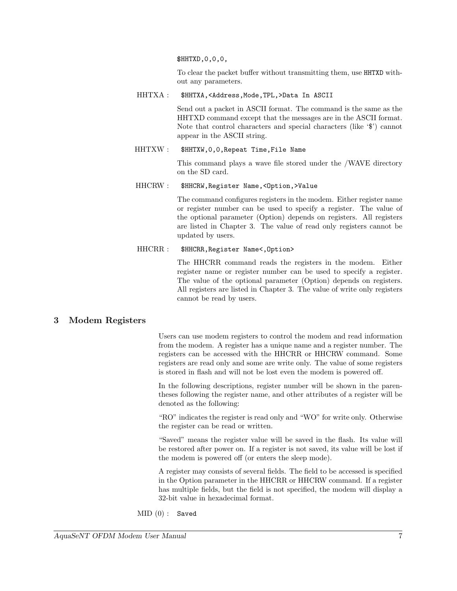\$HHTXD,0,0,0,

To clear the packet buffer without transmitting them, use HHTXD without any parameters.

HHTXA : \$HHTXA, <Address, Mode, TPL, >Data In ASCII

Send out a packet in ASCII format. The command is the same as the HHTXD command except that the messages are in the ASCII format. Note that control characters and special characters (like '\$') cannot appear in the ASCII string.

HHTXW : \$HHTXW,0,0,Repeat Time,File Name

This command plays a wave file stored under the /WAVE directory on the SD card.

HHCRW : \$HHCRW,Register Name,<Option,>Value

The command configures registers in the modem. Either register name or register number can be used to specify a register. The value of the optional parameter (Option) depends on registers. All registers are listed in Chapter 3. The value of read only registers cannot be updated by users.

HHCRR : \$HHCRR, Register Name<, Option>

The HHCRR command reads the registers in the modem. Either register name or register number can be used to specify a register. The value of the optional parameter (Option) depends on registers. All registers are listed in Chapter 3. The value of write only registers cannot be read by users.

## 3 Modem Registers

Users can use modem registers to control the modem and read information from the modem. A register has a unique name and a register number. The registers can be accessed with the HHCRR or HHCRW command. Some registers are read only and some are write only. The value of some registers is stored in flash and will not be lost even the modem is powered off.

In the following descriptions, register number will be shown in the parentheses following the register name, and other attributes of a register will be denoted as the following:

"RO" indicates the register is read only and "WO" for write only. Otherwise the register can be read or written.

"Saved" means the register value will be saved in the flash. Its value will be restored after power on. If a register is not saved, its value will be lost if the modem is powered off (or enters the sleep mode).

A register may consists of several fields. The field to be accessed is specified in the Option parameter in the HHCRR or HHCRW command. If a register has multiple fields, but the field is not specified, the modem will display a 32-bit value in hexadecimal format.

 $MID(0):$  Saved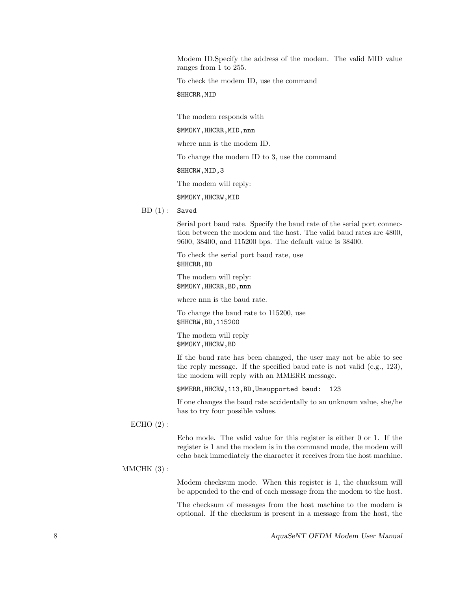Modem ID.Specify the address of the modem. The valid MID value ranges from 1 to 255.

To check the modem ID, use the command

## \$HHCRR, MID

The modem responds with

\$MMOKY,HHCRR,MID,nnn

where nnn is the modem ID.

To change the modem ID to 3, use the command

\$HHCRW,MID,3

The modem will reply:

\$MMOKY,HHCRW,MID

 $BD(1)$ : Saved

Serial port baud rate. Specify the baud rate of the serial port connection between the modem and the host. The valid baud rates are 4800, 9600, 38400, and 115200 bps. The default value is 38400.

To check the serial port baud rate, use \$HHCRR,BD

The modem will reply: \$MMOKY,HHCRR,BD,nnn

where nnn is the baud rate.

To change the baud rate to 115200, use \$HHCRW,BD,115200

The modem will reply \$MMOKY,HHCRW,BD

If the baud rate has been changed, the user may not be able to see the reply message. If the specified baud rate is not valid (e.g., 123), the modem will reply with an MMERR message.

\$MMERR,HHCRW,113,BD,Unsupported baud: 123

If one changes the baud rate accidentally to an unknown value, she/he has to try four possible values.

#### ECHO  $(2)$  :

Echo mode. The valid value for this register is either 0 or 1. If the register is 1 and the modem is in the command mode, the modem will echo back immediately the character it receives from the host machine.

 $MMCHK(3):$ 

Modem checksum mode. When this register is 1, the chucksum will be appended to the end of each message from the modem to the host.

The checksum of messages from the host machine to the modem is optional. If the checksum is present in a message from the host, the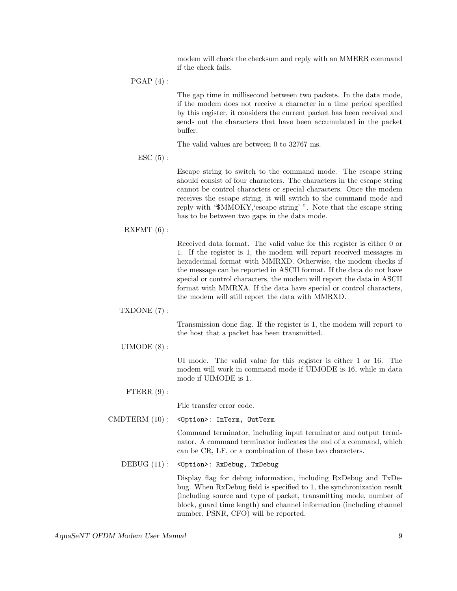modem will check the checksum and reply with an MMERR command if the check fails.

 $PGAP(4):$ 

The gap time in millisecond between two packets. In the data mode, if the modem does not receive a character in a time period specified by this register, it considers the current packet has been received and sends out the characters that have been accumulated in the packet buffer.

The valid values are between 0 to 32767 ms.

 $\text{ESC}(5):$ 

Escape string to switch to the command mode. The escape string should consist of four characters. The characters in the escape string cannot be control characters or special characters. Once the modem receives the escape string, it will switch to the command mode and reply with "\$MMOKY,'escape string' ". Note that the escape string has to be between two gaps in the data mode.

## RXFMT (6) :

Received data format. The valid value for this register is either 0 or 1. If the register is 1, the modem will report received messages in hexadecimal format with MMRXD. Otherwise, the modem checks if the message can be reported in ASCII format. If the data do not have special or control characters, the modem will report the data in ASCII format with MMRXA. If the data have special or control characters, the modem will still report the data with MMRXD.

TXDONE (7) :

Transmission done flag. If the register is 1, the modem will report to the host that a packet has been transmitted.

UIMODE (8) :

UI mode. The valid value for this register is either 1 or 16. The modem will work in command mode if UIMODE is 16, while in data mode if UIMODE is 1.

FTERR  $(9)$  :

File transfer error code.

CMDTERM (10): < Option>: InTerm, OutTerm

Command terminator, including input terminator and output terminator. A command terminator indicates the end of a command, which can be CR, LF, or a combination of these two characters.

DEBUG (11) : < Option>: RxDebug, TxDebug

Display flag for debug information, including RxDebug and TxDebug. When RxDebug field is specified to 1, the synchronization result (including source and type of packet, transmitting mode, number of block, guard time length) and channel information (including channel number, PSNR, CFO) will be reported.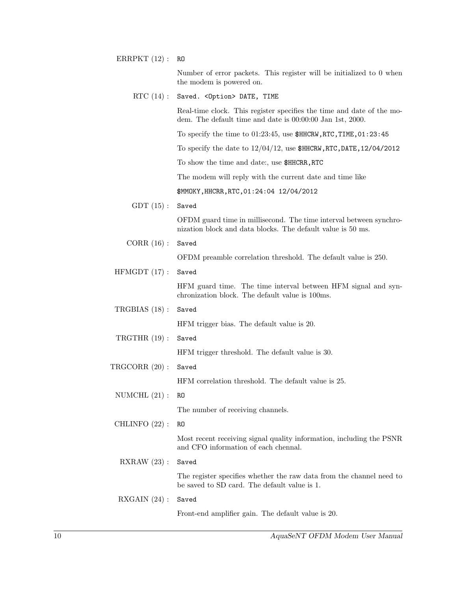ERRPKT  $(12)$ : RO

Number of error packets. This register will be initialized to 0 when the modem is powered on.

RTC (14) : Saved. < Option> DATE, TIME

Real-time clock. This register specifies the time and date of the modem. The default time and date is 00:00:00 Jan 1st, 2000.

To specify the time to 01:23:45, use \$HHCRW,RTC,TIME,01:23:45

To specify the date to  $12/04/12$ , use  $$HHCRW, RTC, DATE, 12/04/2012$ 

To show the time and date:, use \$HHCRR,RTC

The modem will reply with the current date and time like

\$MMOKY,HHCRR,RTC,01:24:04 12/04/2012

 $GDT(15)$ : Saved

OFDM guard time in millisecond. The time interval between synchronization block and data blocks. The default value is 50 ms.

CORR (16) : Saved

OFDM preamble correlation threshold. The default value is 250.

HFMGDT (17) : Saved

HFM guard time. The time interval between HFM signal and synchronization block. The default value is 100ms.

- HFM trigger bias. The default value is 20.
- TRGTHR (19) : Saved

TRGBIAS (18) : Saved

HFM trigger threshold. The default value is 30.

TRGCORR (20) : Saved

HFM correlation threshold. The default value is 25.

- NUMCHL  $(21)$ : RO The number of receiving channels.
- CHLINFO (22) : RO

Most recent receiving signal quality information, including the PSNR and CFO information of each chennal.

RXRAW (23) : Saved

The register specifies whether the raw data from the channel need to be saved to SD card. The default value is 1.

RXGAIN (24) : Saved

Front-end amplifier gain. The default value is 20.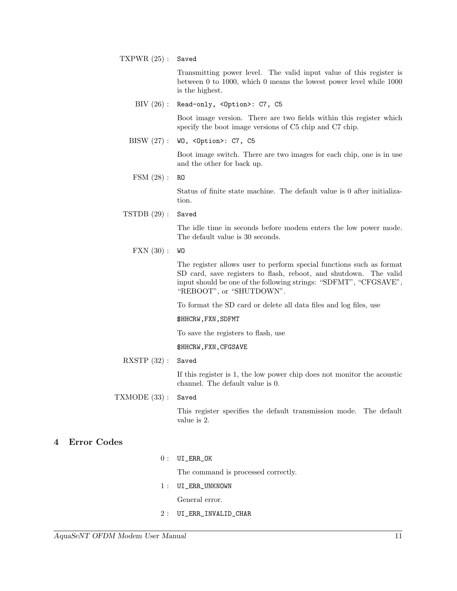TXPWR (25) : Saved

Transmitting power level. The valid input value of this register is between 0 to 1000, which 0 means the lowest power level while 1000 is the highest.

BIV (26) : Read-only, <Option>: C7, C5

Boot image version. There are two fields within this register which specify the boot image versions of C5 chip and C7 chip.

BISW (27) : WO, <Option>: C7, C5

Boot image switch. There are two images for each chip, one is in use and the other for back up.

FSM (28) : RO

Status of finite state machine. The default value is 0 after initialization.

TSTDB (29) : Saved

The idle time in seconds before modem enters the low power mode. The default value is 30 seconds.

 $\text{FXN (30)}: W$ 

The register allows user to perform special functions such as format SD card, save registers to flash, reboot, and shutdown. The valid input should be one of the following strings: "SDFMT", "CFGSAVE", "REBOOT", or "SHUTDOWN".

To format the SD card or delete all data files and log files, use

\$HHCRW,FXN,SDFMT

To save the registers to flash, use

\$HHCRW,FXN,CFGSAVE

RXSTP (32) : Saved

If this register is 1, the low power chip does not monitor the acoustic channel. The default value is 0.

## TXMODE (33) : Saved

This register specifies the default transmission mode. The default value is 2.

## 4 Error Codes

 $0:$   $UI\_ERR_OK$ 

The command is processed correctly.

1 : UI\_ERR\_UNKNOWN

General error.

2 : UI\_ERR\_INVALID\_CHAR